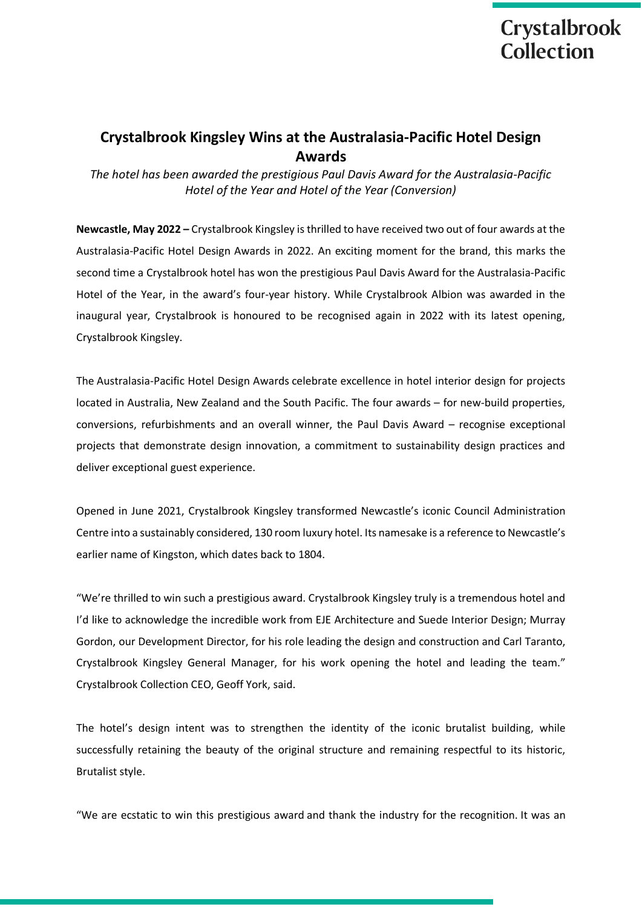# **Crystalbrook** Collection

## **Crystalbrook Kingsley Wins at the Australasia-Pacific Hotel Design Awards**

*The hotel has been awarded the prestigious Paul Davis Award for the Australasia-Pacific Hotel of the Year and Hotel of the Year (Conversion)*

**Newcastle, May 2022 –** Crystalbrook Kingsley is thrilled to have received two out of four awards at the Australasia-Pacific Hotel Design Awards in 2022. An exciting moment for the brand, this marks the second time a Crystalbrook hotel has won the prestigious Paul Davis Award for the Australasia-Pacific Hotel of the Year, in the award's four-year history. While Crystalbrook Albion was awarded in the inaugural year, Crystalbrook is honoured to be recognised again in 2022 with its latest opening, Crystalbrook Kingsley.

The Australasia-Pacific Hotel Design Awards celebrate excellence in hotel interior design for projects located in Australia, New Zealand and the South Pacific. The four awards – for new-build properties, conversions, refurbishments and an overall winner, the Paul Davis Award – recognise exceptional projects that demonstrate design innovation, a commitment to sustainability design practices and deliver exceptional guest experience.

Opened in June 2021, Crystalbrook Kingsley transformed Newcastle's iconic Council Administration Centre into a sustainably considered, 130 room luxury hotel. Its namesake is a reference to Newcastle's earlier name of Kingston, which dates back to 1804.

"We're thrilled to win such a prestigious award. Crystalbrook Kingsley truly is a tremendous hotel and I'd like to acknowledge the incredible work from EJE Architecture and Suede Interior Design; Murray Gordon, our Development Director, for his role leading the design and construction and Carl Taranto, Crystalbrook Kingsley General Manager, for his work opening the hotel and leading the team." Crystalbrook Collection CEO, Geoff York, said.

The hotel's design intent was to strengthen the identity of the iconic brutalist building, while successfully retaining the beauty of the original structure and remaining respectful to its historic, Brutalist style.

"We are ecstatic to win this prestigious award and thank the industry for the recognition. It was an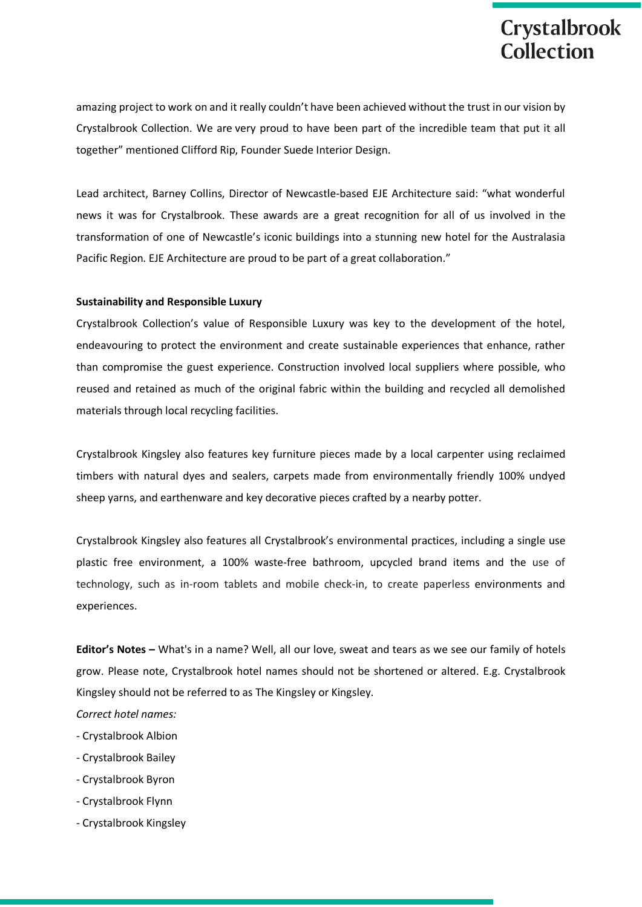# **Crystalbrook Collection**

amazing project to work on and it really couldn't have been achieved without the trust in our vision by Crystalbrook Collection. We are very proud to have been part of the incredible team that put it all together" mentioned Clifford Rip, Founder Suede Interior Design.

Lead architect, Barney Collins, Director of Newcastle-based EJE Architecture said: "what wonderful news it was for Crystalbrook. These awards are a great recognition for all of us involved in the transformation of one of Newcastle's iconic buildings into a stunning new hotel for the Australasia Pacific Region. EJE Architecture are proud to be part of a great collaboration."

#### **Sustainability and Responsible Luxury**

Crystalbrook Collection's value of Responsible Luxury was key to the development of the hotel, endeavouring to protect the environment and create sustainable experiences that enhance, rather than compromise the guest experience. Construction involved local suppliers where possible, who reused and retained as much of the original fabric within the building and recycled all demolished materials through local recycling facilities.

Crystalbrook Kingsley also features key furniture pieces made by a local carpenter using reclaimed timbers with natural dyes and sealers, carpets made from environmentally friendly 100% undyed sheep yarns, and earthenware and key decorative pieces crafted by a nearby potter.

Crystalbrook Kingsley also features all Crystalbrook's environmental practices, including a single use plastic free environment, a 100% waste-free bathroom, upcycled brand items and the use of technology, such as in-room tablets and mobile check-in, to create paperless environments and experiences.

**Editor's Notes –** What's in a name? Well, all our love, sweat and tears as we see our family of hotels grow. Please note, Crystalbrook hotel names should not be shortened or altered. E.g. Crystalbrook Kingsley should not be referred to as The Kingsley or Kingsley.

*Correct hotel names:*

- Crystalbrook Albion
- Crystalbrook Bailey
- Crystalbrook Byron
- Crystalbrook Flynn
- Crystalbrook Kingsley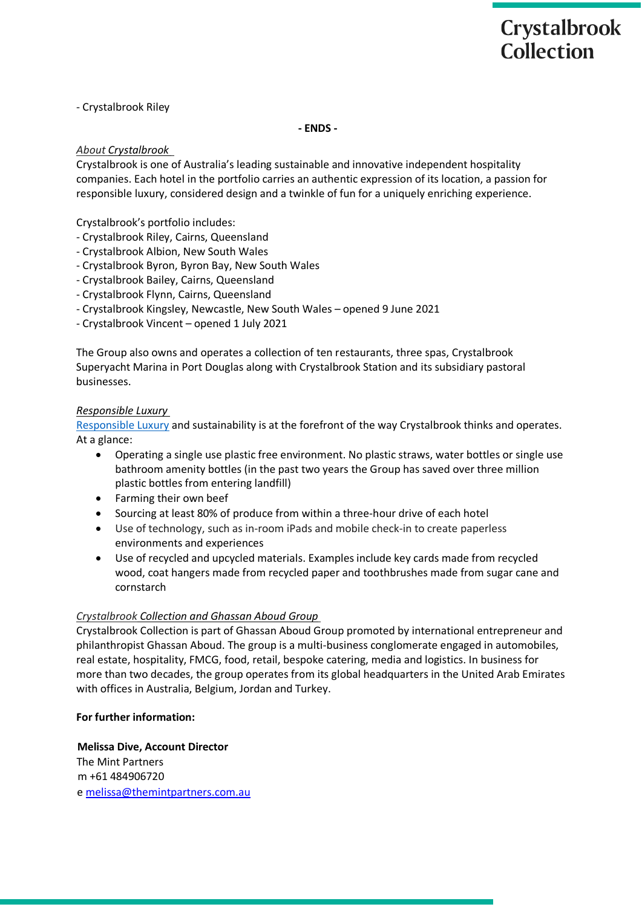- Crystalbrook Riley

#### **- ENDS -**

### *About Crystalbrook*

Crystalbrook is one of Australia's leading sustainable and innovative independent hospitality companies. Each hotel in the portfolio carries an authentic expression of its location, a passion for responsible luxury, considered design and a twinkle of fun for a uniquely enriching experience.

Crystalbrook's portfolio includes: 

- Crystalbrook Riley, Cairns, Queensland
- Crystalbrook Albion, New South Wales
- Crystalbrook Byron, Byron Bay, New South Wales
- Crystalbrook Bailey, Cairns, Queensland
- Crystalbrook Flynn, Cairns, Queensland
- Crystalbrook Kingsley, Newcastle, New South Wales opened 9 June 2021
- Crystalbrook Vincent opened 1 July 2021

The Group also owns and operates a collection of ten restaurants, three spas, Crystalbrook Superyacht Marina in Port Douglas along with Crystalbrook Station and its subsidiary pastoral businesses.

#### *Responsible Luxury*

[Responsible](https://www.crystalbrookcollection.com/responsible-luxury) Luxury and sustainability is at the forefront of the way Crystalbrook thinks and operates. At a glance:

- Operating a single use plastic free environment. No plastic straws, water bottles or single use bathroom amenity bottles (in the past two years the Group has saved over three million plastic bottles from entering landfill)
- Farming their own beef
- Sourcing at least 80% of produce from within a three-hour drive of each hotel
- Use of technology, such as in-room iPads and mobile check-in to create paperless environments and experiences
- Use of recycled and upcycled materials. Examples include key cards made from recycled wood, coat hangers made from recycled paper and toothbrushes made from sugar cane and cornstarch

#### *Crystalbrook Collection and Ghassan Aboud Group*

Crystalbrook Collection is part of Ghassan Aboud Group promoted by international entrepreneur and philanthropist Ghassan Aboud. The group is a multi-business conglomerate engaged in automobiles, real estate, hospitality, FMCG, food, retail, bespoke catering, media and logistics. In business for more than two decades, the group operates from its global headquarters in the United Arab Emirates with offices in Australia, Belgium, Jordan and Turkey.

#### **For further information:**

**Melissa Dive, Account Director**  The Mint Partners m +61 484906720 e melissa@themintpartners.com.au